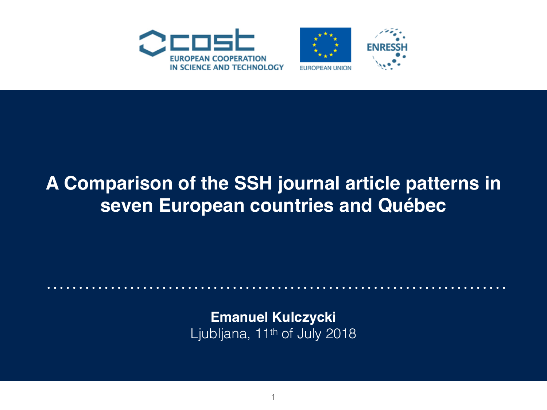



# **A Comparison of the SSH journal article patterns in seven European countries and Québec**

**Emanuel Kulczycki** Ljubljana, 11th of July 2018

1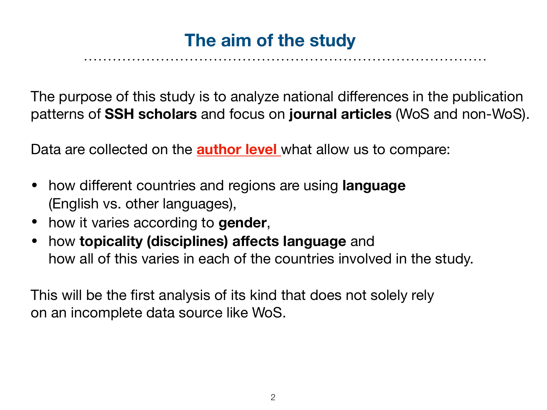## **The aim of the study**

The purpose of this study is to analyze national differences in the publication patterns of **SSH scholars** and focus on **journal articles** (WoS and non-WoS).

Data are collected on the **author level** what allow us to compare:

- how different countries and regions are using **language** (English vs. other languages),
- how it varies according to **gender**,
- how **topicality (disciplines) affects language** and how all of this varies in each of the countries involved in the study.

This will be the first analysis of its kind that does not solely rely on an incomplete data source like WoS.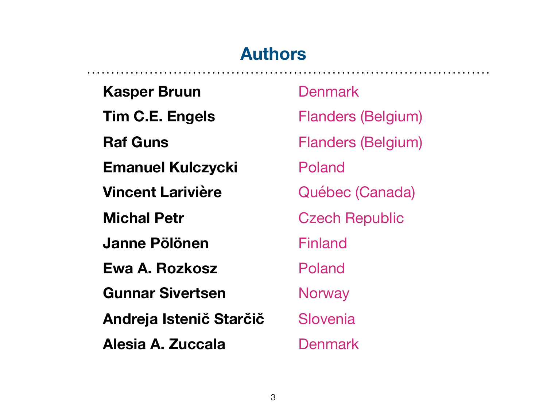## **Authors**

**Kasper Bruun Tim C.E. Engels Raf Guns Emanuel Kulczycki Vincent Larivière Michal Petr Janne Pölönen Ewa A. Rozkosz Gunnar Sivertsen Andreja Istenič Starčič Alesia A. Zuccala**

**Denmark** Flanders (Belgium) Flanders (Belgium) Poland Québec (Canada) Czech Republic Finland Poland **Norway** Slovenia **Denmark**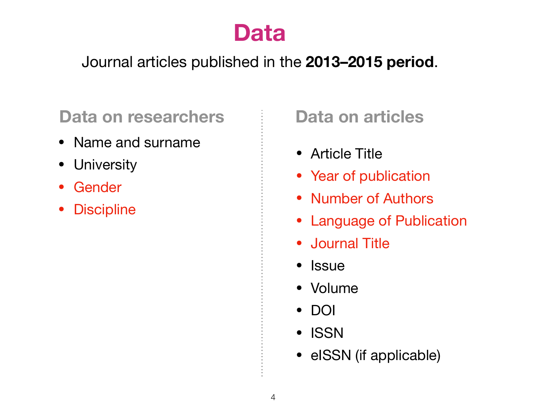

Journal articles published in the **2013–2015 period**.

### **Data on researchers**

- Name and surname
- University
- Gender
- Discipline

## **Data on articles**

- Article Title
- Year of publication
- Number of Authors
- Language of Publication
- Journal Title
- Issue
- Volume
- DOI
- ISSN
- eISSN (if applicable)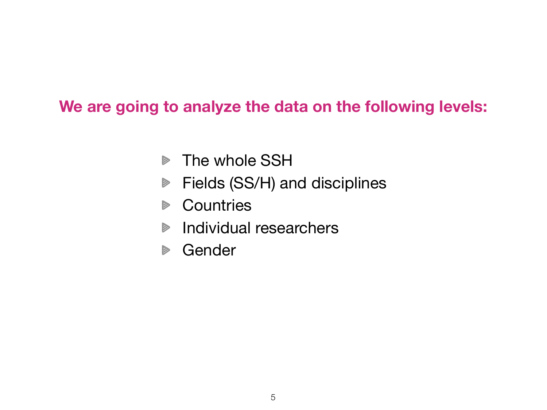#### **We are going to analyze the data on the following levels:**

- **▶ The whole SSH**
- Fields (SS/H) and disciplines
- **▶ Countries**
- Individual researchers D
- **B** Gender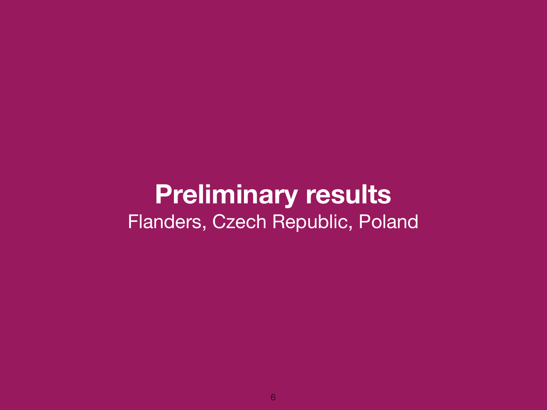# **Preliminary results**  Flanders, Czech Republic, Poland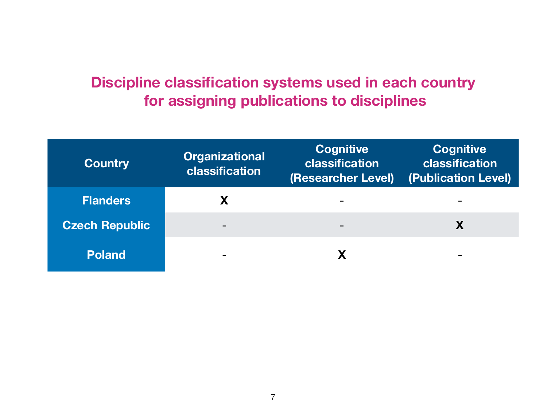#### **Discipline classification systems used in each country for assigning publications to disciplines**

| <b>Country</b>        | <b>Organizational</b><br>classification | <b>Cognitive</b><br>classification<br><b>(Researcher Level)</b> | <b>Cognitive</b><br>classification<br><b>(Publication Level)</b> |
|-----------------------|-----------------------------------------|-----------------------------------------------------------------|------------------------------------------------------------------|
| <b>Flanders</b>       | X                                       |                                                                 |                                                                  |
| <b>Czech Republic</b> | $\qquad \qquad$                         |                                                                 |                                                                  |
| <b>Poland</b>         | $\sim$                                  |                                                                 |                                                                  |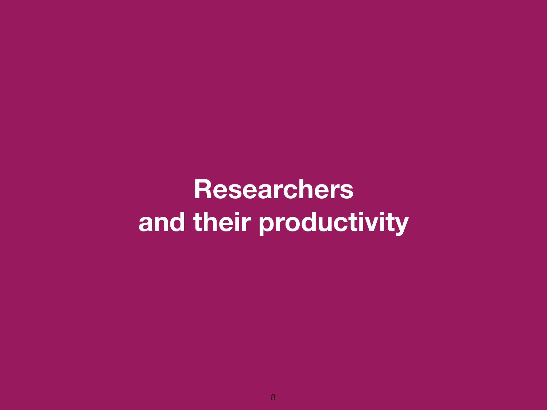# **Researchers and their productivity**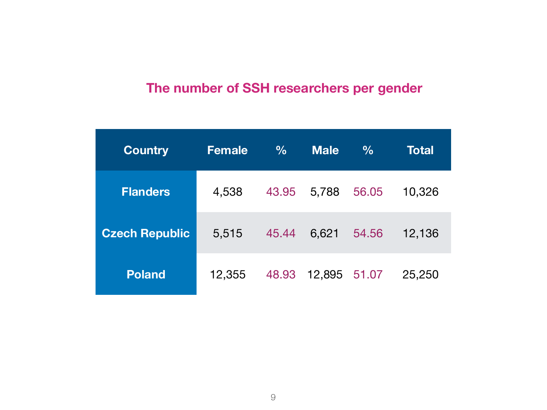#### **The number of SSH researchers per gender**

| <b>Country</b>        | <b>Female</b> | $\frac{6}{6}$ | <b>Male</b> | $\frac{0}{0}$ | Total  |
|-----------------------|---------------|---------------|-------------|---------------|--------|
| <b>Flanders</b>       | 4,538         | 43.95         | 5,788       | 56.05         | 10,326 |
| <b>Czech Republic</b> | 5,515         | 45.44         | 6,621       | 54.56         | 12,136 |
| <b>Poland</b>         | 12,355        | 48.93         | 12,895      | 51.07         | 25,250 |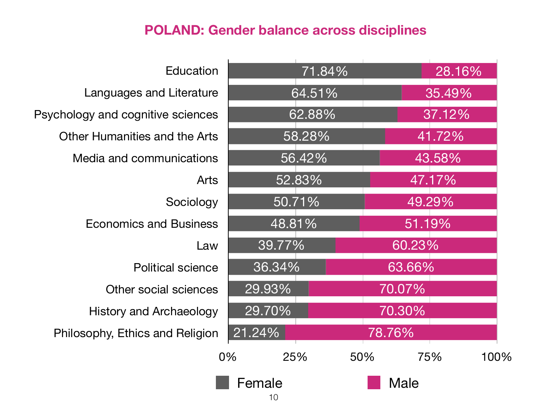#### **POLAND: Gender balance across disciplines**

| Education                            |              | 71.84% |             | 28.16%      |
|--------------------------------------|--------------|--------|-------------|-------------|
| <b>Languages and Literature</b>      |              | 64.51% |             | 35.49%      |
| Psychology and cognitive sciences    |              | 62.88% |             | 37.12%      |
| <b>Other Humanities and the Arts</b> |              | 58.28% |             | 41.72%      |
| Media and communications             |              | 56.42% |             | 43.58%      |
| <b>Arts</b>                          |              | 52.83% |             | 47.17%      |
| Sociology                            |              | 50.71% |             | 49.29%      |
| <b>Economics and Business</b>        | 48.81%       |        | 51.19%      |             |
| Law                                  | 39.77%       |        | 60.23%      |             |
| <b>Political science</b>             | 36.34%       |        | 63.66%      |             |
| Other social sciences                | 29.93%       |        | 70.07%      |             |
| <b>History and Archaeology</b>       | 29.70%       |        | 70.30%      |             |
| Philosophy, Ethics and Religion      | 21.24%       |        | 78.76%      |             |
|                                      | 0%<br>25%    |        | 50%         | 75%<br>100% |
|                                      | Female<br>10 |        | <b>Male</b> |             |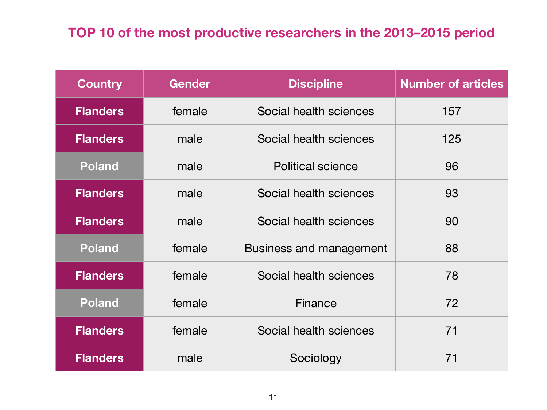#### **TOP 10 of the most productive researchers in the 2013–2015 period**

| <b>Country</b>  | <b>Gender</b> | <b>Discipline</b>              | <b>Number of articles</b> |
|-----------------|---------------|--------------------------------|---------------------------|
| <b>Flanders</b> | female        | Social health sciences         | 157                       |
| <b>Flanders</b> | male          | Social health sciences         | 125                       |
| <b>Poland</b>   | male          | <b>Political science</b>       | 96                        |
| <b>Flanders</b> | male          | Social health sciences         | 93                        |
| <b>Flanders</b> | male          | Social health sciences         | 90                        |
| <b>Poland</b>   | female        | <b>Business and management</b> | 88                        |
| <b>Flanders</b> | female        | Social health sciences         | 78                        |
| <b>Poland</b>   | female        | Finance                        | 72                        |
| <b>Flanders</b> | female        | Social health sciences         | 71                        |
| <b>Flanders</b> | male          | Sociology                      | 71                        |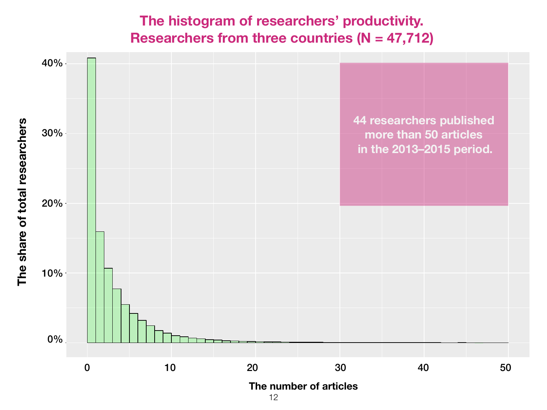#### **Researchers from three countries (N = 47,712) The histogram of researchers' productivity.**

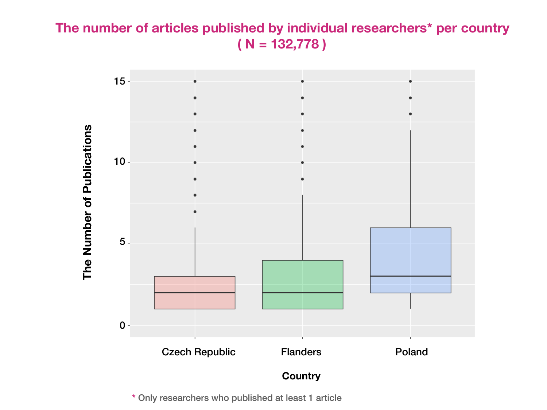#### **The number of articles published by individual researchers\* per country ( N = 132,778 )**



**\*** Only researchers who published at least 1 article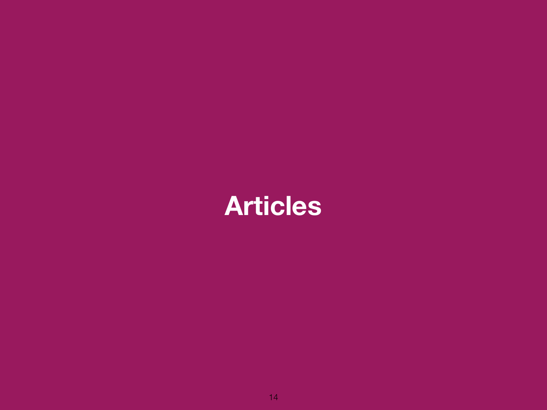# **Articles**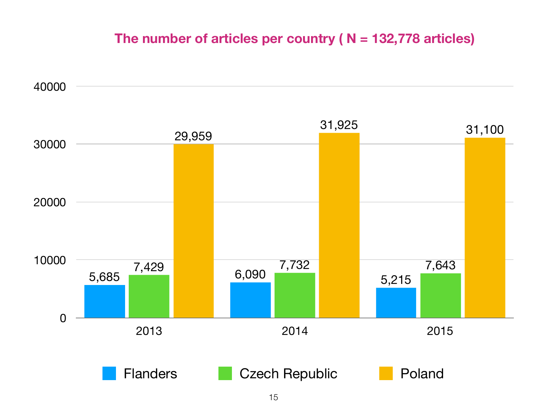#### **The number of articles per country ( N = 132,778 articles)**

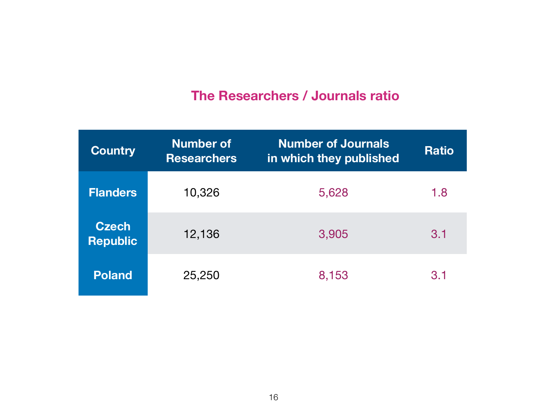#### **The Researchers / Journals ratio**

| <b>Country</b>                  | <b>Number of</b><br><b>Researchers</b> | <b>Number of Journals</b><br>in which they published | <b>Ratio</b> |
|---------------------------------|----------------------------------------|------------------------------------------------------|--------------|
| <b>Flanders</b>                 | 10,326                                 | 5,628                                                | 1.8          |
| <b>Czech</b><br><b>Republic</b> | 12,136                                 | 3,905                                                | 3.1          |
| <b>Poland</b>                   | 25,250                                 | 8,153                                                | 3.1          |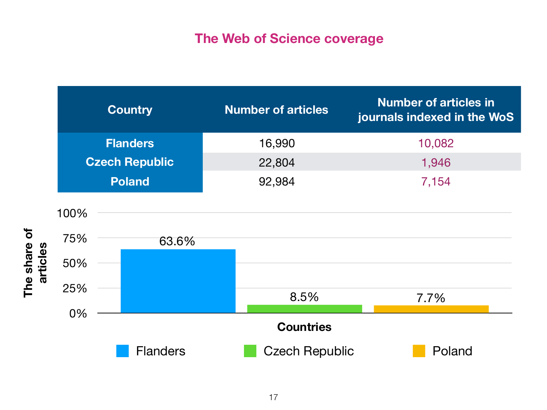#### **The Web of Science coverage**

| <b>Country</b>        | <b>Number of articles</b> | <b>Number of articles in</b><br>journals indexed in the WoS |
|-----------------------|---------------------------|-------------------------------------------------------------|
| <b>Flanders</b>       | 16,990                    | 10,082                                                      |
| <b>Czech Republic</b> | 22,804                    | 1,946                                                       |
| <b>Poland</b>         | 92,984                    | 7.154                                                       |

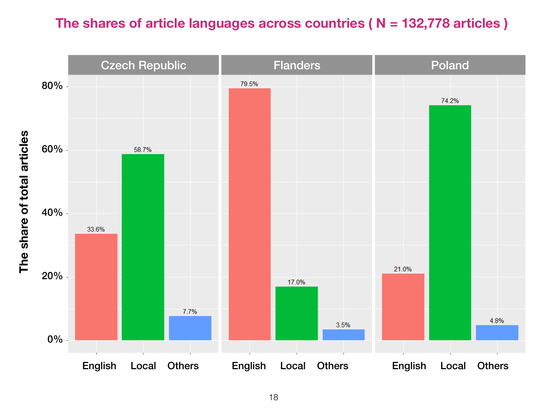#### **The shares of article languages across countries ( N = 132,778 articles )**

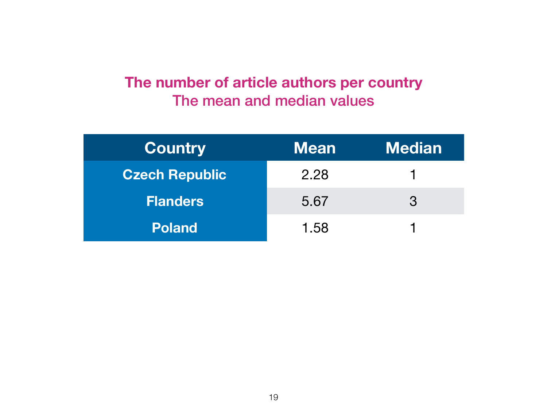#### **The number of article authors per country**  The mean and median values

| <b>Country</b>        | <b>Mean</b> | <b>Median</b> |
|-----------------------|-------------|---------------|
| <b>Czech Republic</b> | 2.28        |               |
| <b>Flanders</b>       | 5.67        | $\mathcal{S}$ |
| <b>Poland</b>         | 1.58        |               |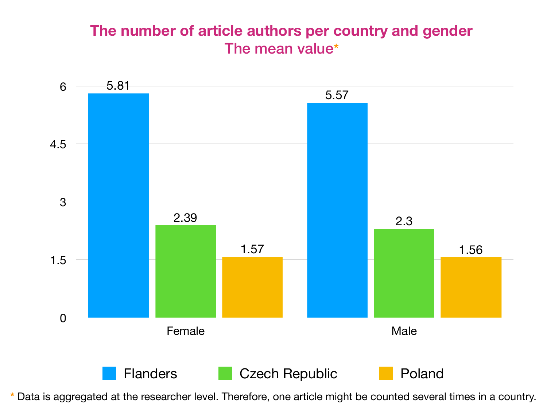#### **The number of article authors per country and gender**  The mean value\*



**\*** Data is aggregated at the researcher level. Therefore, one article might be counted several times in a country.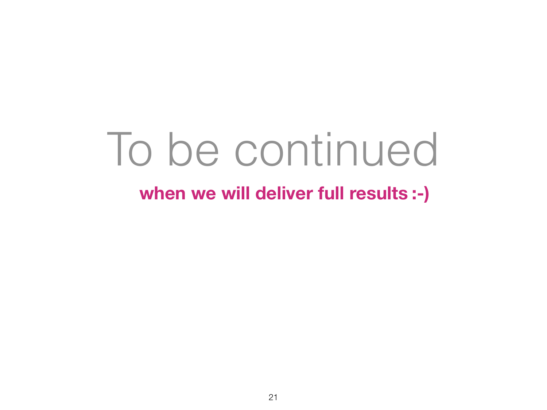# To be continued

## **when we will deliver full results :-)**